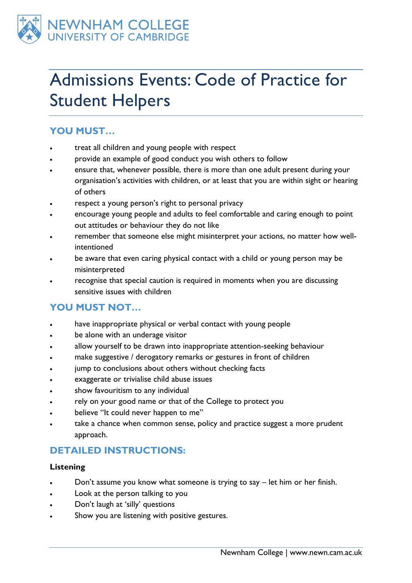

# Admissions Events: Code of Practice for Student Helpers

# **YOU MUST…**

- treat all children and young people with respect
- provide an example of good conduct you wish others to follow
- ensure that, whenever possible, there is more than one adult present during your organisation's activities with children, or at least that you are within sight or hearing of others
- respect a young person's right to personal privacy
- encourage young people and adults to feel comfortable and caring enough to point out attitudes or behaviour they do not like
- remember that someone else might misinterpret your actions, no matter how wellintentioned
- be aware that even caring physical contact with a child or young person may be misinterpreted
- recognise that special caution is required in moments when you are discussing sensitive issues with children

# **YOU MUST NOT…**

- have inappropriate physical or verbal contact with young people
- be alone with an underage visitor
- allow yourself to be drawn into inappropriate attention-seeking behaviour
- make suggestive / derogatory remarks or gestures in front of children
- jump to conclusions about others without checking facts
- exaggerate or trivialise child abuse issues
- show favouritism to any individual
- rely on your good name or that of the College to protect you
- believe "It could never happen to me"
- take a chance when common sense, policy and practice suggest a more prudent approach.

# **DETAILED INSTRUCTIONS:**

# **Listening**

- Don't assume you know what someone is trying to say let him or her finish.
- Look at the person talking to you
- Don't laugh at 'silly' questions
- Show you are listening with positive gestures.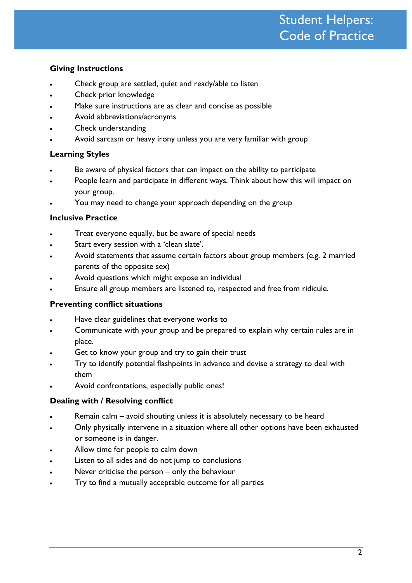### **Giving Instructions**

- Check group are settled, quiet and ready/able to listen
- Check prior knowledge
- Make sure instructions are as clear and concise as possible
- Avoid abbreviations/acronyms
- Check understanding
- Avoid sarcasm or heavy irony unless you are very familiar with group

### **Learning Styles**

- Be aware of physical factors that can impact on the ability to participate
- People learn and participate in different ways. Think about how this will impact on your group.
- You may need to change your approach depending on the group

#### **Inclusive Practice**

- Treat everyone equally, but be aware of special needs
- Start every session with a 'clean slate'.
- Avoid statements that assume certain factors about group members (e.g. 2 married parents of the opposite sex)
- Avoid questions which might expose an individual
- Ensure all group members are listened to, respected and free from ridicule.

#### **Preventing conflict situations**

- Have clear guidelines that everyone works to
- Communicate with your group and be prepared to explain why certain rules are in place.
- Get to know your group and try to gain their trust
- Try to identify potential flashpoints in advance and devise a strategy to deal with them
- Avoid confrontations, especially public ones!

#### **Dealing with / Resolving conflict**

- Remain calm avoid shouting unless it is absolutely necessary to be heard
- Only physically intervene in a situation where all other options have been exhausted or someone is in danger.
- Allow time for people to calm down
- Listen to all sides and do not jump to conclusions
- Never criticise the person only the behaviour
- Try to find a mutually acceptable outcome for all parties